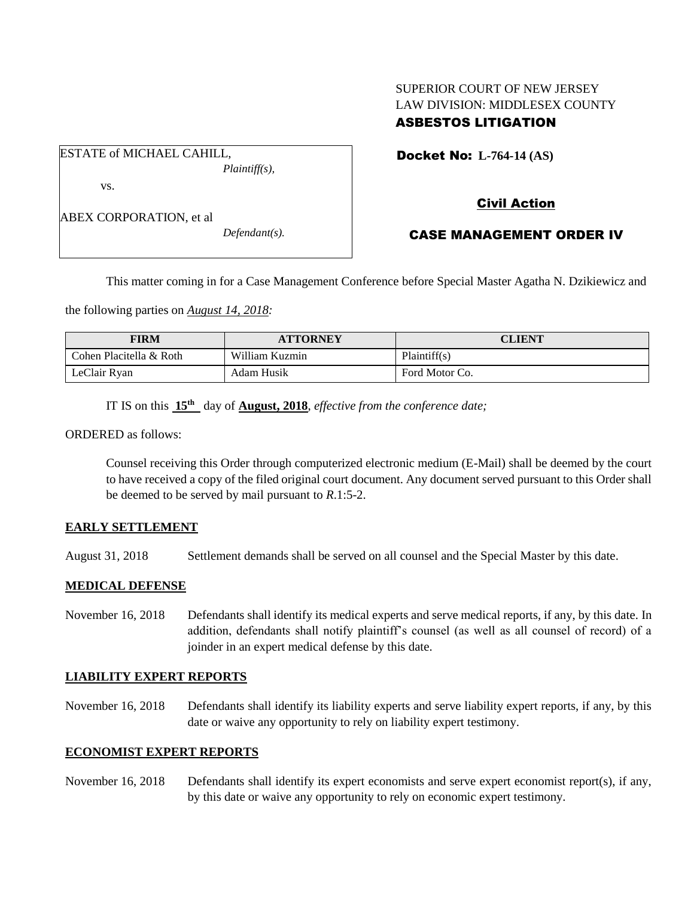# SUPERIOR COURT OF NEW JERSEY LAW DIVISION: MIDDLESEX COUNTY ASBESTOS LITIGATION

Docket No: **L-764-14 (AS)** 

ABEX CORPORATION, et al

vs.

ESTATE of MICHAEL CAHILL,

*Defendant(s).*

*Plaintiff(s),*

Civil Action CASE MANAGEMENT ORDER IV

This matter coming in for a Case Management Conference before Special Master Agatha N. Dzikiewicz and

the following parties on *August 14, 2018:*

| <b>FIRM</b>             | <b>ATTORNEY</b> | CLIENT         |
|-------------------------|-----------------|----------------|
| Cohen Placitella & Roth | William Kuzmin  | Plaintiff(s)   |
| LeClair Ryan            | Adam Husik      | Ford Motor Co. |

IT IS on this **15th** day of **August, 2018**, *effective from the conference date;*

ORDERED as follows:

Counsel receiving this Order through computerized electronic medium (E-Mail) shall be deemed by the court to have received a copy of the filed original court document. Any document served pursuant to this Order shall be deemed to be served by mail pursuant to *R*.1:5-2.

### **EARLY SETTLEMENT**

August 31, 2018 Settlement demands shall be served on all counsel and the Special Master by this date.

### **MEDICAL DEFENSE**

November 16, 2018 Defendants shall identify its medical experts and serve medical reports, if any, by this date. In addition, defendants shall notify plaintiff's counsel (as well as all counsel of record) of a joinder in an expert medical defense by this date.

### **LIABILITY EXPERT REPORTS**

November 16, 2018 Defendants shall identify its liability experts and serve liability expert reports, if any, by this date or waive any opportunity to rely on liability expert testimony.

### **ECONOMIST EXPERT REPORTS**

November 16, 2018 Defendants shall identify its expert economists and serve expert economist report(s), if any, by this date or waive any opportunity to rely on economic expert testimony.